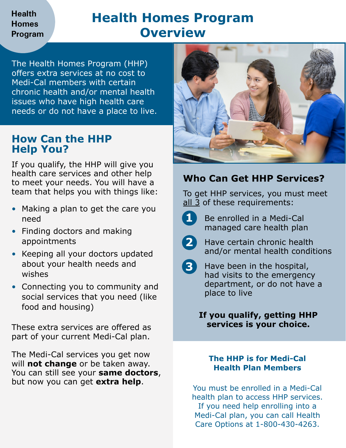### **Health Homes Program**

# **Health Homes Program Overview**

The Health Homes Program (HHP) offers extra services at no cost to Medi-Cal members with certain chronic health and/or mental health issues who have high health care needs or do not have a place to live.

## **How Can the HHP Help You?**

If you qualify, the HHP will give you health care services and other help to meet your needs. You will have a team that helps you with things like:

- Making a plan to get the care you need
- Finding doctors and making appointments
- Keeping all your doctors updated about your health needs and wishes
- Connecting you to community and social services that you need (like food and housing)

These extra services are offered as part of your current Medi-Cal plan.

The Medi-Cal services you get now will **not change** or be taken away. You can still see your **same doctors**, but now you can get **extra help**.



## **Who Can Get HHP Services?**

To get HHP services, you must meet all 3 of these requirements:



**1** Be enrolled in a Medi-Cal managed care health plan



**2** Have certain chronic health and/or mental health conditions



**3** Have been in the hospital, had visits to the emergency department, or do not have a place to live

#### **If you qualify, getting HHP services is your choice.**

#### **The HHP is for Medi-Cal Health Plan Members**

You must be enrolled in a Medi-Cal health plan to access HHP services. If you need help enrolling into a Medi-Cal plan, you can call Health Care Options at 1-800-430-4263.